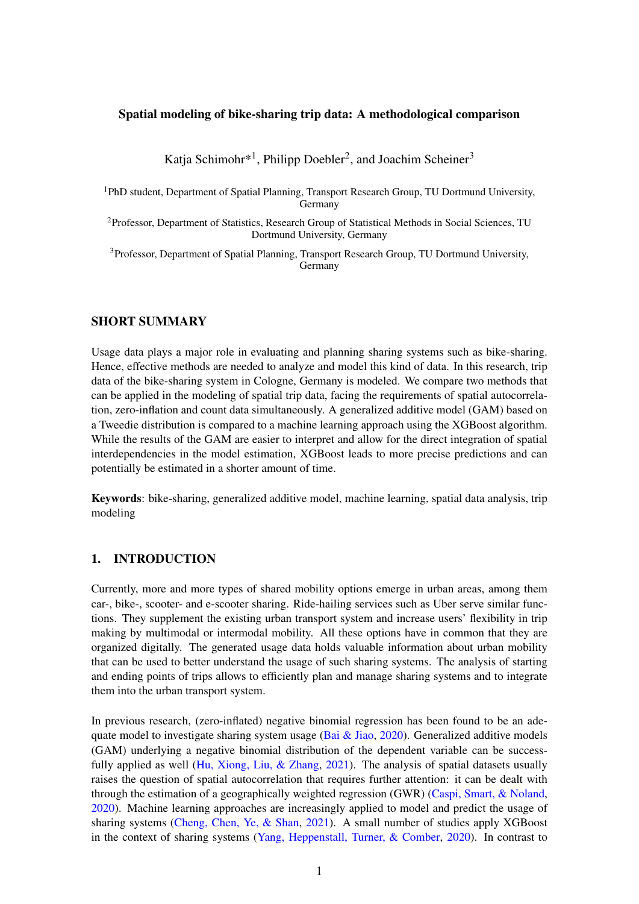#### Spatial modeling of bike-sharing trip data: A methodological comparison

Katja Schimohr\*<sup>1</sup>, Philipp Doebler<sup>2</sup>, and Joachim Scheiner<sup>3</sup>

<sup>1</sup>PhD student, Department of Spatial Planning, Transport Research Group, TU Dortmund University, Germany

<sup>2</sup>Professor, Department of Statistics, Research Group of Statistical Methods in Social Sciences, TU Dortmund University, Germany

<sup>3</sup>Professor, Department of Spatial Planning, Transport Research Group, TU Dortmund University, **Germany** 

#### SHORT SUMMARY

Usage data plays a major role in evaluating and planning sharing systems such as bike-sharing. Hence, effective methods are needed to analyze and model this kind of data. In this research, trip data of the bike-sharing system in Cologne, Germany is modeled. We compare two methods that can be applied in the modeling of spatial trip data, facing the requirements of spatial autocorrelation, zero-inflation and count data simultaneously. A generalized additive model (GAM) based on a Tweedie distribution is compared to a machine learning approach using the XGBoost algorithm. While the results of the GAM are easier to interpret and allow for the direct integration of spatial interdependencies in the model estimation, XGBoost leads to more precise predictions and can potentially be estimated in a shorter amount of time.

Keywords: bike-sharing, generalized additive model, machine learning, spatial data analysis, trip modeling

### 1. INTRODUCTION

Currently, more and more types of shared mobility options emerge in urban areas, among them car-, bike-, scooter- and e-scooter sharing. Ride-hailing services such as Uber serve similar functions. They supplement the existing urban transport system and increase users' flexibility in trip making by multimodal or intermodal mobility. All these options have in common that they are organized digitally. The generated usage data holds valuable information about urban mobility that can be used to better understand the usage of such sharing systems. The analysis of starting and ending points of trips allows to efficiently plan and manage sharing systems and to integrate them into the urban transport system.

In previous research, (zero-inflated) negative binomial regression has been found to be an adequate model to investigate sharing system usage (Bai  $\&$  Jiao, [2020\)](#page-8-0). Generalized additive models (GAM) underlying a negative binomial distribution of the dependent variable can be success-fully applied as well [\(Hu, Xiong, Liu, & Zhang,](#page-8-1) [2021\)](#page-8-1). The analysis of spatial datasets usually raises the question of spatial autocorrelation that requires further attention: it can be dealt with through the estimation of a geographically weighted regression (GWR) [\(Caspi, Smart, & Noland,](#page-8-2) [2020\)](#page-8-2). Machine learning approaches are increasingly applied to model and predict the usage of sharing systems [\(Cheng, Chen, Ye, & Shan,](#page-8-3) [2021\)](#page-8-3). A small number of studies apply XGBoost in the context of sharing systems [\(Yang, Heppenstall, Turner, & Comber,](#page-9-0) [2020\)](#page-9-0). In contrast to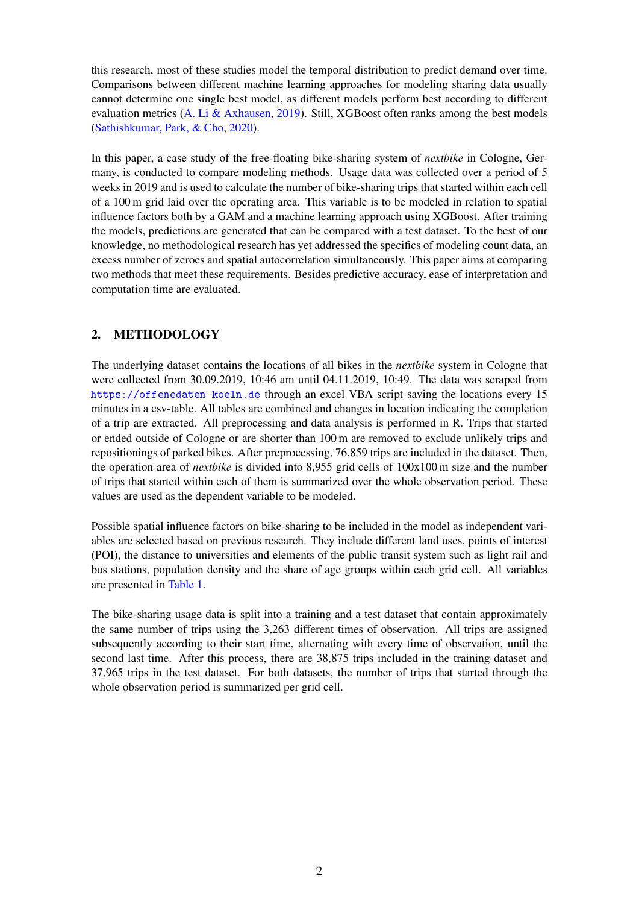this research, most of these studies model the temporal distribution to predict demand over time. Comparisons between different machine learning approaches for modeling sharing data usually cannot determine one single best model, as different models perform best according to different evaluation metrics [\(A. Li & Axhausen,](#page-9-1) [2019\)](#page-9-1). Still, XGBoost often ranks among the best models [\(Sathishkumar, Park, & Cho,](#page-9-2) [2020\)](#page-9-2).

In this paper, a case study of the free-floating bike-sharing system of *nextbike* in Cologne, Germany, is conducted to compare modeling methods. Usage data was collected over a period of 5 weeks in 2019 and is used to calculate the number of bike-sharing trips that started within each cell of a 100 m grid laid over the operating area. This variable is to be modeled in relation to spatial influence factors both by a GAM and a machine learning approach using XGBoost. After training the models, predictions are generated that can be compared with a test dataset. To the best of our knowledge, no methodological research has yet addressed the specifics of modeling count data, an excess number of zeroes and spatial autocorrelation simultaneously. This paper aims at comparing two methods that meet these requirements. Besides predictive accuracy, ease of interpretation and computation time are evaluated.

# 2. METHODOLOGY

The underlying dataset contains the locations of all bikes in the *nextbike* system in Cologne that were collected from 30.09.2019, 10:46 am until 04.11.2019, 10:49. The data was scraped from <https://offenedaten-koeln.de> through an excel VBA script saving the locations every 15 minutes in a csv-table. All tables are combined and changes in location indicating the completion of a trip are extracted. All preprocessing and data analysis is performed in R. Trips that started or ended outside of Cologne or are shorter than 100 m are removed to exclude unlikely trips and repositionings of parked bikes. After preprocessing, 76,859 trips are included in the dataset. Then, the operation area of *nextbike* is divided into 8,955 grid cells of 100x100 m size and the number of trips that started within each of them is summarized over the whole observation period. These values are used as the dependent variable to be modeled.

Possible spatial influence factors on bike-sharing to be included in the model as independent variables are selected based on previous research. They include different land uses, points of interest (POI), the distance to universities and elements of the public transit system such as light rail and bus stations, population density and the share of age groups within each grid cell. All variables are presented in [Table 1.](#page-2-0)

The bike-sharing usage data is split into a training and a test dataset that contain approximately the same number of trips using the 3,263 different times of observation. All trips are assigned subsequently according to their start time, alternating with every time of observation, until the second last time. After this process, there are 38,875 trips included in the training dataset and 37,965 trips in the test dataset. For both datasets, the number of trips that started through the whole observation period is summarized per grid cell.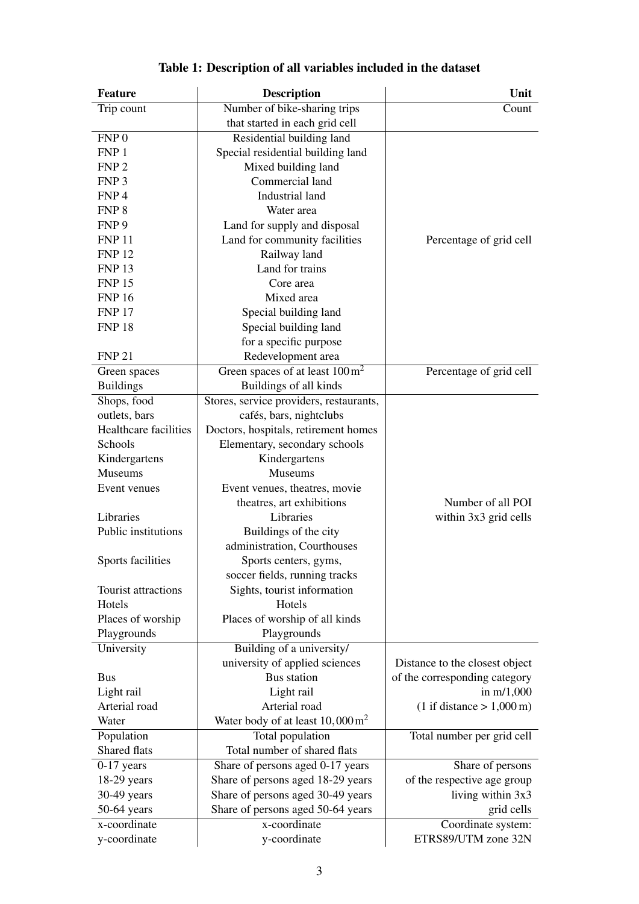<span id="page-2-0"></span>

| <b>Feature</b>        | <b>Description</b>                             | Unit                                        |
|-----------------------|------------------------------------------------|---------------------------------------------|
| Trip count            | Number of bike-sharing trips                   | Count                                       |
|                       | that started in each grid cell                 |                                             |
| FNP <sub>0</sub>      | Residential building land                      |                                             |
| FNP 1                 | Special residential building land              |                                             |
| FNP <sub>2</sub>      | Mixed building land                            |                                             |
| FNP <sub>3</sub>      | Commercial land                                |                                             |
| FNP <sub>4</sub>      | Industrial land                                |                                             |
| FNP <sub>8</sub>      | Water area                                     |                                             |
| FNP <sub>9</sub>      | Land for supply and disposal                   |                                             |
| <b>FNP 11</b>         | Land for community facilities                  | Percentage of grid cell                     |
| <b>FNP 12</b>         | Railway land                                   |                                             |
| <b>FNP 13</b>         | Land for trains                                |                                             |
| <b>FNP 15</b>         | Core area                                      |                                             |
| <b>FNP 16</b>         | Mixed area                                     |                                             |
| <b>FNP 17</b>         | Special building land                          |                                             |
| <b>FNP 18</b>         | Special building land                          |                                             |
|                       | for a specific purpose                         |                                             |
| <b>FNP 21</b>         | Redevelopment area                             |                                             |
| Green spaces          | Green spaces of at least $100 \text{ m}^2$     | Percentage of grid cell                     |
| <b>Buildings</b>      | Buildings of all kinds                         |                                             |
| Shops, food           | Stores, service providers, restaurants,        |                                             |
| outlets, bars         | cafés, bars, nightclubs                        |                                             |
| Healthcare facilities | Doctors, hospitals, retirement homes           |                                             |
| Schools               | Elementary, secondary schools                  |                                             |
| Kindergartens         | Kindergartens                                  |                                             |
| <b>Museums</b>        | Museums                                        |                                             |
| Event venues          | Event venues, theatres, movie                  |                                             |
|                       | theatres, art exhibitions                      | Number of all POI                           |
| Libraries             | Libraries                                      | within 3x3 grid cells                       |
| Public institutions   | Buildings of the city                          |                                             |
|                       | administration, Courthouses                    |                                             |
| Sports facilities     | Sports centers, gyms,                          |                                             |
|                       | soccer fields, running tracks                  |                                             |
| Tourist attractions   | Sights, tourist information                    |                                             |
| Hotels                | Hotels                                         |                                             |
| Places of worship     | Places of worship of all kinds                 |                                             |
| Playgrounds           | Playgrounds                                    |                                             |
| University            | Building of a university/                      |                                             |
|                       | university of applied sciences                 | Distance to the closest object              |
| <b>Bus</b>            | <b>Bus</b> station                             | of the corresponding category               |
| Light rail            | Light rail                                     | in $m/1,000$                                |
| Arterial road         | Arterial road                                  | $(1 \text{ if distance} > 1,000 \text{ m})$ |
| Water                 | Water body of at least $10,000 \,\mathrm{m}^2$ |                                             |
| Population            | Total population                               | Total number per grid cell                  |
| Shared flats          | Total number of shared flats                   |                                             |
| $0-17$ years          | Share of persons aged 0-17 years               | Share of persons                            |
| $18-29$ years         | Share of persons aged 18-29 years              | of the respective age group                 |
| 30-49 years           | Share of persons aged 30-49 years              | living within 3x3                           |
| 50-64 years           | Share of persons aged 50-64 years              | grid cells                                  |
| x-coordinate          | x-coordinate                                   |                                             |
|                       |                                                | Coordinate system:<br>ETRS89/UTM zone 32N   |
| y-coordinate          | y-coordinate                                   |                                             |

# Table 1: Description of all variables included in the dataset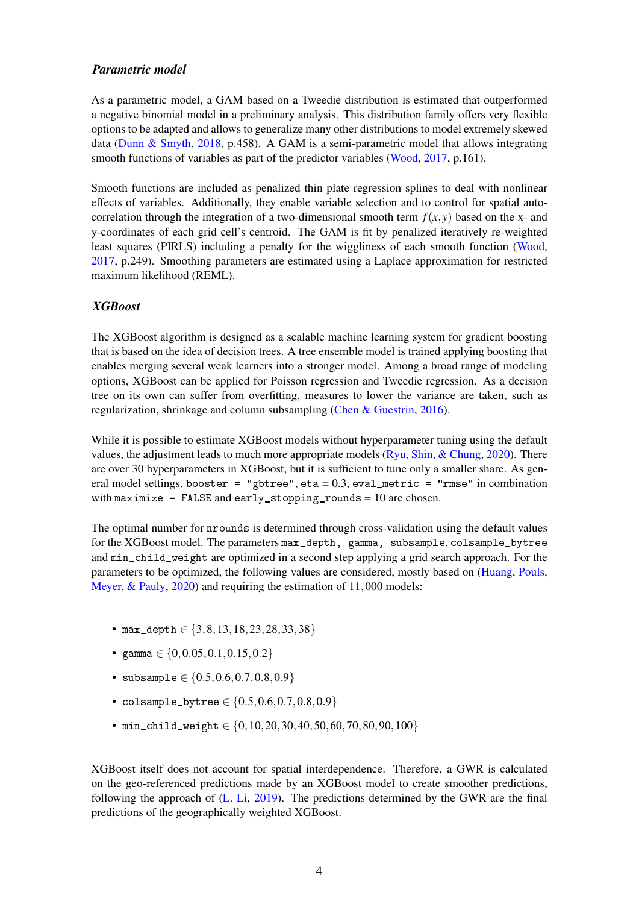#### *Parametric model*

As a parametric model, a GAM based on a Tweedie distribution is estimated that outperformed a negative binomial model in a preliminary analysis. This distribution family offers very flexible options to be adapted and allows to generalize many other distributions to model extremely skewed data [\(Dunn & Smyth,](#page-8-4) [2018,](#page-8-4) p.458). A GAM is a semi-parametric model that allows integrating smooth functions of variables as part of the predictor variables [\(Wood,](#page-9-3) [2017,](#page-9-3) p.161).

Smooth functions are included as penalized thin plate regression splines to deal with nonlinear effects of variables. Additionally, they enable variable selection and to control for spatial autocorrelation through the integration of a two-dimensional smooth term  $f(x, y)$  based on the x- and y-coordinates of each grid cell's centroid. The GAM is fit by penalized iteratively re-weighted least squares (PIRLS) including a penalty for the wiggliness of each smooth function [\(Wood,](#page-9-3) [2017,](#page-9-3) p.249). Smoothing parameters are estimated using a Laplace approximation for restricted maximum likelihood (REML).

### *XGBoost*

The XGBoost algorithm is designed as a scalable machine learning system for gradient boosting that is based on the idea of decision trees. A tree ensemble model is trained applying boosting that enables merging several weak learners into a stronger model. Among a broad range of modeling options, XGBoost can be applied for Poisson regression and Tweedie regression. As a decision tree on its own can suffer from overfitting, measures to lower the variance are taken, such as regularization, shrinkage and column subsampling [\(Chen & Guestrin,](#page-8-5) [2016\)](#page-8-5).

While it is possible to estimate XGBoost models without hyperparameter tuning using the default values, the adjustment leads to much more appropriate models ( $Ryu$ , Shin, & Chung, [2020\)](#page-9-4). There are over 30 hyperparameters in XGBoost, but it is sufficient to tune only a smaller share. As general model settings, booster = "gbtree", eta =  $0.3$ , eval\_metric = "rmse" in combination with maximize = FALSE and early\_stopping\_rounds =  $10$  are chosen.

The optimal number for nrounds is determined through cross-validation using the default values for the XGBoost model. The parameters max\_depth, gamma, subsample, colsample\_bytree and min\_child\_weight are optimized in a second step applying a grid search approach. For the parameters to be optimized, the following values are considered, mostly based on [\(Huang, Pouls,](#page-8-6) [Meyer, & Pauly,](#page-8-6) [2020\)](#page-8-6) and requiring the estimation of 11,000 models:

- max\_depth ∈ {3,8,13,18,23,28,33,38}
- gamma  $\in \{0, 0.05, 0.1, 0.15, 0.2\}$
- subsample  $\in \{0.5, 0.6, 0.7, 0.8, 0.9\}$
- colsample\_bytree  $\in \{0.5, 0.6, 0.7, 0.8, 0.9\}$
- min\_child\_weight ∈ {0,10,20,30,40,50,60,70,80,90,100}

XGBoost itself does not account for spatial interdependence. Therefore, a GWR is calculated on the geo-referenced predictions made by an XGBoost model to create smoother predictions, following the approach of [\(L. Li,](#page-9-5) [2019\)](#page-9-5). The predictions determined by the GWR are the final predictions of the geographically weighted XGBoost.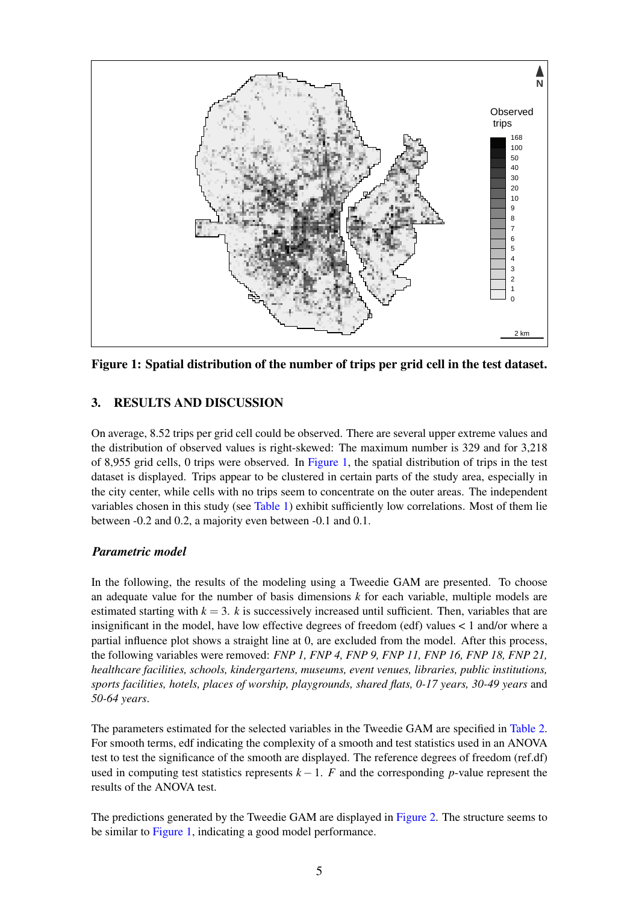<span id="page-4-0"></span>

Figure 1: Spatial distribution of the number of trips per grid cell in the test dataset.

## 3. RESULTS AND DISCUSSION

On average, 8.52 trips per grid cell could be observed. There are several upper extreme values and the distribution of observed values is right-skewed: The maximum number is 329 and for 3,218 of 8,955 grid cells, 0 trips were observed. In [Figure 1,](#page-4-0) the spatial distribution of trips in the test dataset is displayed. Trips appear to be clustered in certain parts of the study area, especially in the city center, while cells with no trips seem to concentrate on the outer areas. The independent variables chosen in this study (see [Table 1\)](#page-2-0) exhibit sufficiently low correlations. Most of them lie between -0.2 and 0.2, a majority even between -0.1 and 0.1.

### *Parametric model*

In the following, the results of the modeling using a Tweedie GAM are presented. To choose an adequate value for the number of basis dimensions *k* for each variable, multiple models are estimated starting with  $k = 3$ . *k* is successively increased until sufficient. Then, variables that are insignificant in the model, have low effective degrees of freedom (edf) values < 1 and/or where a partial influence plot shows a straight line at 0, are excluded from the model. After this process, the following variables were removed: *FNP 1, FNP 4, FNP 9, FNP 11, FNP 16, FNP 18, FNP 21, healthcare facilities, schools, kindergartens, museums, event venues, libraries, public institutions, sports facilities, hotels, places of worship, playgrounds, shared flats, 0-17 years, 30-49 years* and *50-64 years*.

The parameters estimated for the selected variables in the Tweedie GAM are specified in [Table 2.](#page-5-0) For smooth terms, edf indicating the complexity of a smooth and test statistics used in an ANOVA test to test the significance of the smooth are displayed. The reference degrees of freedom (ref.df) used in computing test statistics represents  $k-1$ . *F* and the corresponding *p*-value represent the results of the ANOVA test.

The predictions generated by the Tweedie GAM are displayed in [Figure 2.](#page-6-0) The structure seems to be similar to [Figure 1,](#page-4-0) indicating a good model performance.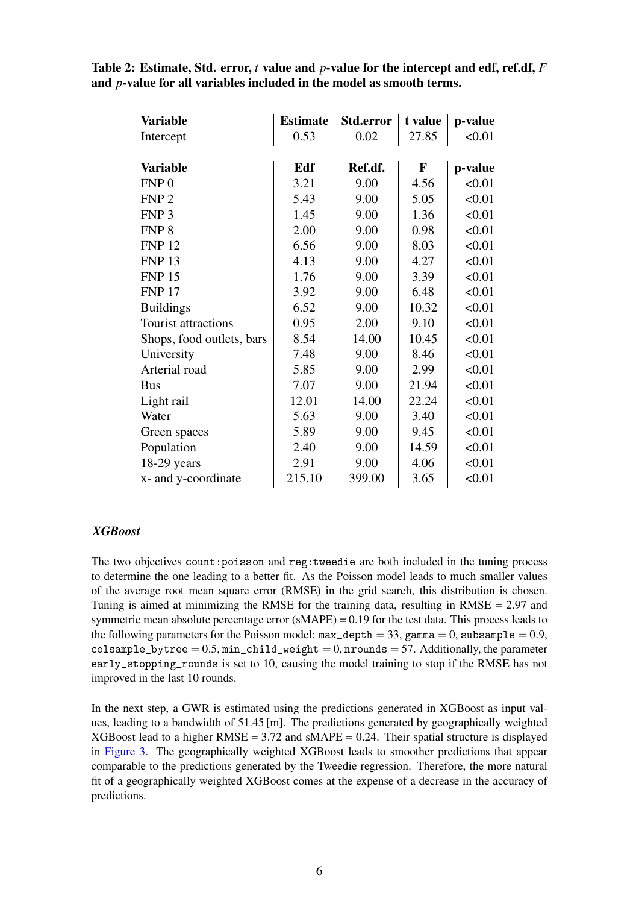| <b>Variable</b>           | <b>Estimate</b> | Std.error | t value     | p-value |
|---------------------------|-----------------|-----------|-------------|---------|
| Intercept                 | 0.53            | 0.02      | 27.85       | < 0.01  |
|                           |                 |           |             |         |
| <b>Variable</b>           | Edf             | Ref.df.   | $\mathbf F$ | p-value |
| FNP <sub>0</sub>          | 3.21            | 9.00      | 4.56        | < 0.01  |
| FNP <sub>2</sub>          | 5.43            | 9.00      | 5.05        | < 0.01  |
| FNP <sub>3</sub>          | 1.45            | 9.00      | 1.36        | < 0.01  |
| FNP <sub>8</sub>          | 2.00            | 9.00      | 0.98        | < 0.01  |
| <b>FNP 12</b>             | 6.56            | 9.00      | 8.03        | < 0.01  |
| <b>FNP 13</b>             | 4.13            | 9.00      | 4.27        | < 0.01  |
| <b>FNP 15</b>             | 1.76            | 9.00      | 3.39        | < 0.01  |
| <b>FNP 17</b>             | 3.92            | 9.00      | 6.48        | < 0.01  |
| <b>Buildings</b>          | 6.52            | 9.00      | 10.32       | < 0.01  |
| Tourist attractions       | 0.95            | 2.00      | 9.10        | < 0.01  |
| Shops, food outlets, bars | 8.54            | 14.00     | 10.45       | < 0.01  |
| University                | 7.48            | 9.00      | 8.46        | < 0.01  |
| Arterial road             | 5.85            | 9.00      | 2.99        | < 0.01  |
| <b>Bus</b>                | 7.07            | 9.00      | 21.94       | < 0.01  |
| Light rail                | 12.01           | 14.00     | 22.24       | < 0.01  |
| Water                     | 5.63            | 9.00      | 3.40        | < 0.01  |
| Green spaces              | 5.89            | 9.00      | 9.45        | < 0.01  |
| Population                | 2.40            | 9.00      | 14.59       | < 0.01  |
| $18-29$ years             | 2.91            | 9.00      | 4.06        | < 0.01  |
| x- and y-coordinate       | 215.10          | 399.00    | 3.65        | < 0.01  |

<span id="page-5-0"></span>Table 2: Estimate, Std. error, *t* value and *p*-value for the intercept and edf, ref.df, *F* and *p*-value for all variables included in the model as smooth terms.

### *XGBoost*

The two objectives count:poisson and reg:tweedie are both included in the tuning process to determine the one leading to a better fit. As the Poisson model leads to much smaller values of the average root mean square error (RMSE) in the grid search, this distribution is chosen. Tuning is aimed at minimizing the RMSE for the training data, resulting in RMSE = 2.97 and symmetric mean absolute percentage error  $(sMAPE) = 0.19$  for the test data. This process leads to the following parameters for the Poisson model:  $max\_depth = 33$ , gamma = 0, subsample = 0.9, colsample\_bytree =  $0.5$ , min\_child\_weight = 0, nrounds = 57. Additionally, the parameter early\_stopping\_rounds is set to 10, causing the model training to stop if the RMSE has not improved in the last 10 rounds.

In the next step, a GWR is estimated using the predictions generated in XGBoost as input values, leading to a bandwidth of 51.45 [m]. The predictions generated by geographically weighted XGBoost lead to a higher  $RMSE = 3.72$  and  $sMAPE = 0.24$ . Their spatial structure is displayed in [Figure 3.](#page-6-1) The geographically weighted XGBoost leads to smoother predictions that appear comparable to the predictions generated by the Tweedie regression. Therefore, the more natural fit of a geographically weighted XGBoost comes at the expense of a decrease in the accuracy of predictions.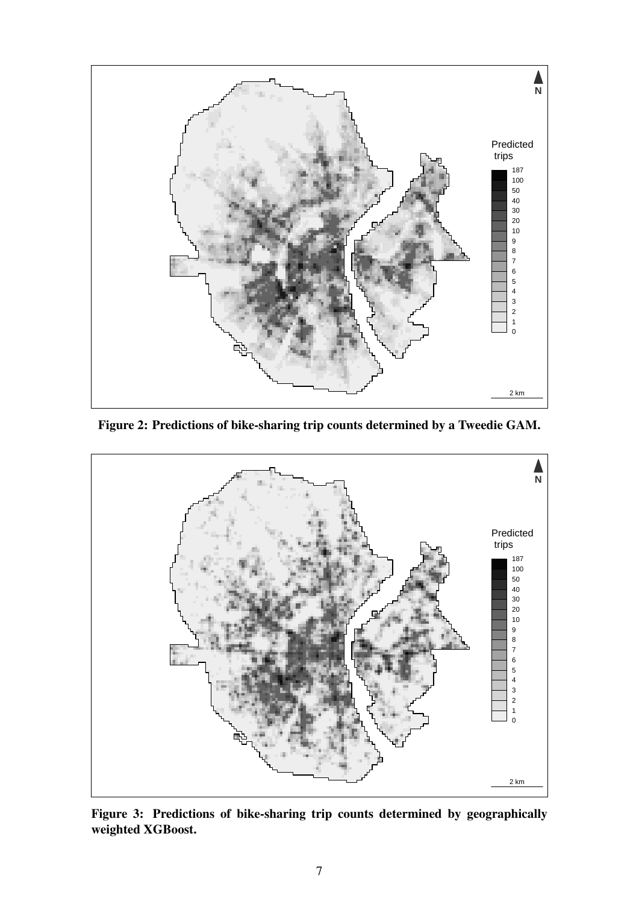<span id="page-6-0"></span>

Figure 2: Predictions of bike-sharing trip counts determined by a Tweedie GAM.

<span id="page-6-1"></span>

Figure 3: Predictions of bike-sharing trip counts determined by geographically weighted XGBoost.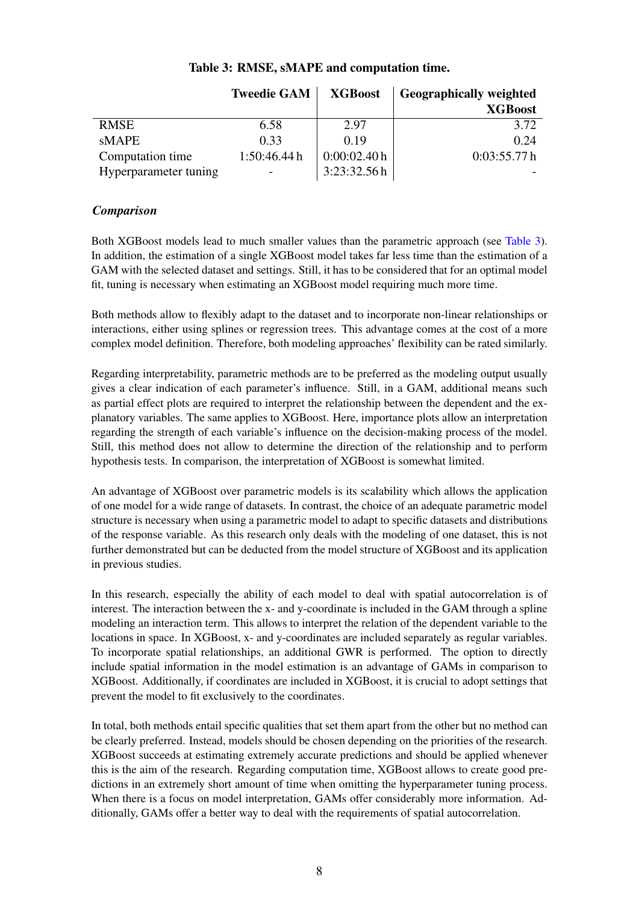<span id="page-7-0"></span>

|                       | <b>Tweedie GAM</b> | <b>XGBoost</b> | <b>Geographically weighted</b> |
|-----------------------|--------------------|----------------|--------------------------------|
|                       |                    |                | <b>XGBoost</b>                 |
| <b>RMSE</b>           | 6.58               | 2.97           | 3.72                           |
| sMAPE                 | 0.33               | 0.19           | 0.24                           |
| Computation time      | 1:50:46.44h        | 0:00:02.40h    | 0:03:55.77h                    |
| Hyperparameter tuning | -                  | 3:23:32.56h    |                                |

## Table 3: RMSE, sMAPE and computation time.

### *Comparison*

Both XGBoost models lead to much smaller values than the parametric approach (see [Table 3\)](#page-7-0). In addition, the estimation of a single XGBoost model takes far less time than the estimation of a GAM with the selected dataset and settings. Still, it has to be considered that for an optimal model fit, tuning is necessary when estimating an XGBoost model requiring much more time.

Both methods allow to flexibly adapt to the dataset and to incorporate non-linear relationships or interactions, either using splines or regression trees. This advantage comes at the cost of a more complex model definition. Therefore, both modeling approaches' flexibility can be rated similarly.

Regarding interpretability, parametric methods are to be preferred as the modeling output usually gives a clear indication of each parameter's influence. Still, in a GAM, additional means such as partial effect plots are required to interpret the relationship between the dependent and the explanatory variables. The same applies to XGBoost. Here, importance plots allow an interpretation regarding the strength of each variable's influence on the decision-making process of the model. Still, this method does not allow to determine the direction of the relationship and to perform hypothesis tests. In comparison, the interpretation of XGBoost is somewhat limited.

An advantage of XGBoost over parametric models is its scalability which allows the application of one model for a wide range of datasets. In contrast, the choice of an adequate parametric model structure is necessary when using a parametric model to adapt to specific datasets and distributions of the response variable. As this research only deals with the modeling of one dataset, this is not further demonstrated but can be deducted from the model structure of XGBoost and its application in previous studies.

In this research, especially the ability of each model to deal with spatial autocorrelation is of interest. The interaction between the x- and y-coordinate is included in the GAM through a spline modeling an interaction term. This allows to interpret the relation of the dependent variable to the locations in space. In XGBoost, x- and y-coordinates are included separately as regular variables. To incorporate spatial relationships, an additional GWR is performed. The option to directly include spatial information in the model estimation is an advantage of GAMs in comparison to XGBoost. Additionally, if coordinates are included in XGBoost, it is crucial to adopt settings that prevent the model to fit exclusively to the coordinates.

In total, both methods entail specific qualities that set them apart from the other but no method can be clearly preferred. Instead, models should be chosen depending on the priorities of the research. XGBoost succeeds at estimating extremely accurate predictions and should be applied whenever this is the aim of the research. Regarding computation time, XGBoost allows to create good predictions in an extremely short amount of time when omitting the hyperparameter tuning process. When there is a focus on model interpretation, GAMs offer considerably more information. Additionally, GAMs offer a better way to deal with the requirements of spatial autocorrelation.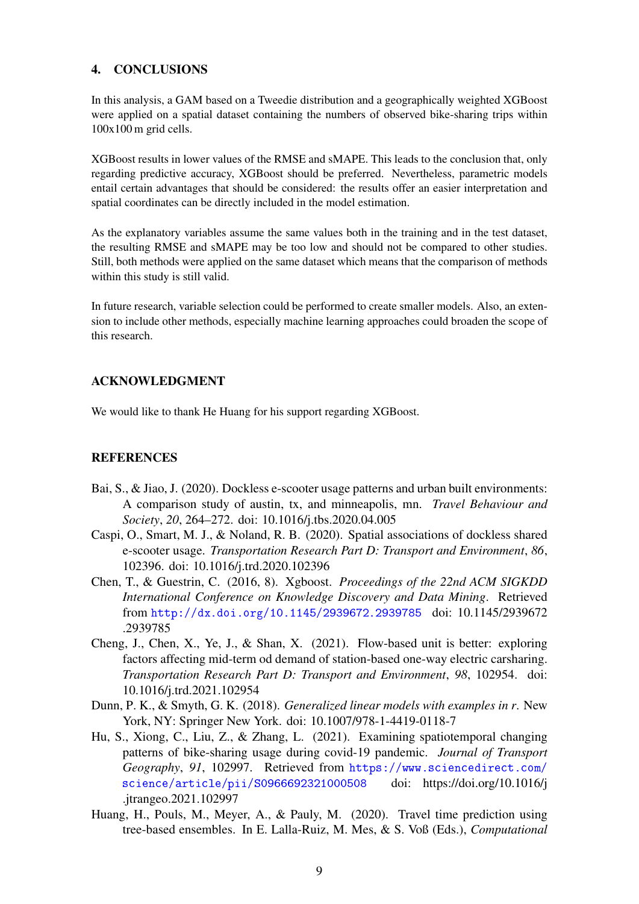## 4. CONCLUSIONS

In this analysis, a GAM based on a Tweedie distribution and a geographically weighted XGBoost were applied on a spatial dataset containing the numbers of observed bike-sharing trips within 100x100 m grid cells.

XGBoost results in lower values of the RMSE and sMAPE. This leads to the conclusion that, only regarding predictive accuracy, XGBoost should be preferred. Nevertheless, parametric models entail certain advantages that should be considered: the results offer an easier interpretation and spatial coordinates can be directly included in the model estimation.

As the explanatory variables assume the same values both in the training and in the test dataset, the resulting RMSE and sMAPE may be too low and should not be compared to other studies. Still, both methods were applied on the same dataset which means that the comparison of methods within this study is still valid.

In future research, variable selection could be performed to create smaller models. Also, an extension to include other methods, especially machine learning approaches could broaden the scope of this research.

## ACKNOWLEDGMENT

We would like to thank He Huang for his support regarding XGBoost.

## **REFERENCES**

- <span id="page-8-0"></span>Bai, S., & Jiao, J. (2020). Dockless e-scooter usage patterns and urban built environments: A comparison study of austin, tx, and minneapolis, mn. *Travel Behaviour and Society*, *20*, 264–272. doi: 10.1016/j.tbs.2020.04.005
- <span id="page-8-2"></span>Caspi, O., Smart, M. J., & Noland, R. B. (2020). Spatial associations of dockless shared e-scooter usage. *Transportation Research Part D: Transport and Environment*, *86*, 102396. doi: 10.1016/j.trd.2020.102396
- <span id="page-8-5"></span>Chen, T., & Guestrin, C. (2016, 8). Xgboost. *Proceedings of the 22nd ACM SIGKDD International Conference on Knowledge Discovery and Data Mining*. Retrieved from <http://dx.doi.org/10.1145/2939672.2939785> doi: 10.1145/2939672 .2939785
- <span id="page-8-3"></span>Cheng, J., Chen, X., Ye, J., & Shan, X. (2021). Flow-based unit is better: exploring factors affecting mid-term od demand of station-based one-way electric carsharing. *Transportation Research Part D: Transport and Environment*, *98*, 102954. doi: 10.1016/j.trd.2021.102954
- <span id="page-8-4"></span>Dunn, P. K., & Smyth, G. K. (2018). *Generalized linear models with examples in r*. New York, NY: Springer New York. doi: 10.1007/978-1-4419-0118-7
- <span id="page-8-1"></span>Hu, S., Xiong, C., Liu, Z., & Zhang, L. (2021). Examining spatiotemporal changing patterns of bike-sharing usage during covid-19 pandemic. *Journal of Transport Geography*, *91*, 102997. Retrieved from [https://www.sciencedirect.com/](https://www.sciencedirect.com/science/article/pii/S0966692321000508) [science/article/pii/S0966692321000508](https://www.sciencedirect.com/science/article/pii/S0966692321000508) doi: https://doi.org/10.1016/j .jtrangeo.2021.102997
- <span id="page-8-6"></span>Huang, H., Pouls, M., Meyer, A., & Pauly, M. (2020). Travel time prediction using tree-based ensembles. In E. Lalla-Ruiz, M. Mes, & S. Voß (Eds.), *Computational*